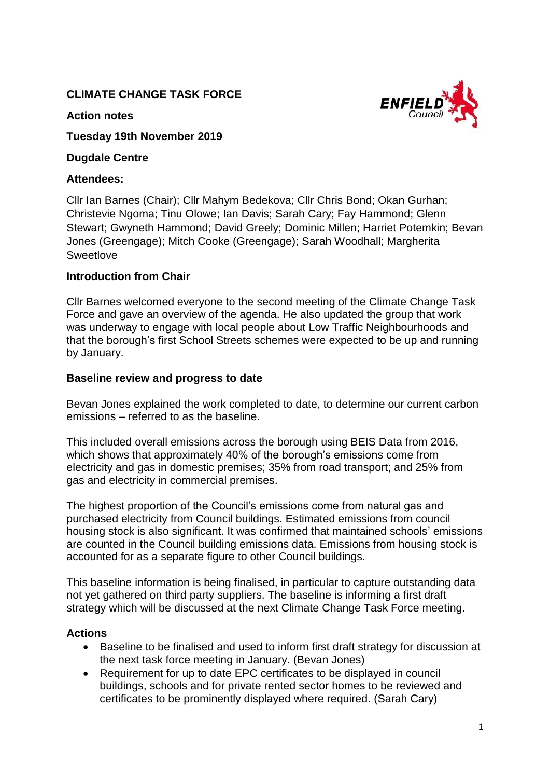# **CLIMATE CHANGE TASK FORCE**



#### **Action notes**

**Tuesday 19th November 2019**

## **Dugdale Centre**

# **Attendees:**

Cllr Ian Barnes (Chair); Cllr Mahym Bedekova; Cllr Chris Bond; Okan Gurhan; Christevie Ngoma; Tinu Olowe; Ian Davis; Sarah Cary; Fay Hammond; Glenn Stewart; Gwyneth Hammond; David Greely; Dominic Millen; Harriet Potemkin; Bevan Jones (Greengage); Mitch Cooke (Greengage); Sarah Woodhall; Margherita **Sweetlove** 

# **Introduction from Chair**

Cllr Barnes welcomed everyone to the second meeting of the Climate Change Task Force and gave an overview of the agenda. He also updated the group that work was underway to engage with local people about Low Traffic Neighbourhoods and that the borough's first School Streets schemes were expected to be up and running by January.

# **Baseline review and progress to date**

Bevan Jones explained the work completed to date, to determine our current carbon emissions – referred to as the baseline.

This included overall emissions across the borough using BEIS Data from 2016, which shows that approximately 40% of the borough's emissions come from electricity and gas in domestic premises; 35% from road transport; and 25% from gas and electricity in commercial premises.

The highest proportion of the Council's emissions come from natural gas and purchased electricity from Council buildings. Estimated emissions from council housing stock is also significant. It was confirmed that maintained schools' emissions are counted in the Council building emissions data. Emissions from housing stock is accounted for as a separate figure to other Council buildings.

This baseline information is being finalised, in particular to capture outstanding data not yet gathered on third party suppliers. The baseline is informing a first draft strategy which will be discussed at the next Climate Change Task Force meeting.

# **Actions**

- Baseline to be finalised and used to inform first draft strategy for discussion at the next task force meeting in January. (Bevan Jones)
- Requirement for up to date EPC certificates to be displayed in council buildings, schools and for private rented sector homes to be reviewed and certificates to be prominently displayed where required. (Sarah Cary)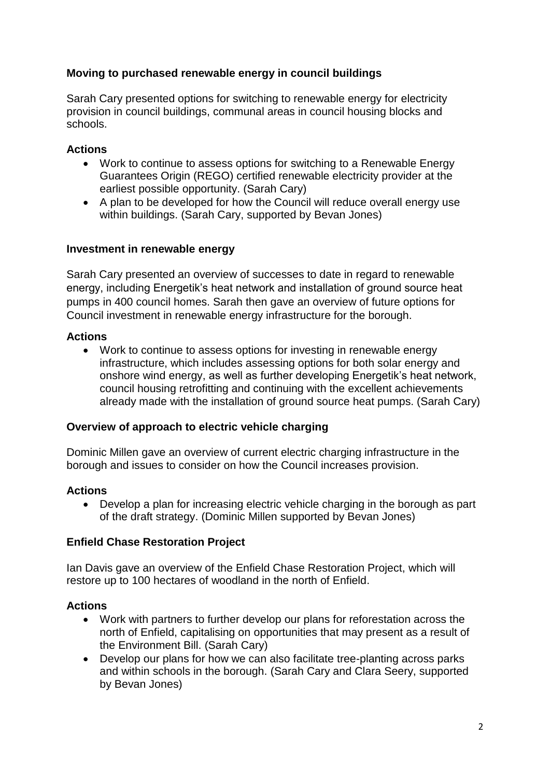# **Moving to purchased renewable energy in council buildings**

Sarah Cary presented options for switching to renewable energy for electricity provision in council buildings, communal areas in council housing blocks and schools.

### **Actions**

- Work to continue to assess options for switching to a Renewable Energy Guarantees Origin (REGO) certified renewable electricity provider at the earliest possible opportunity. (Sarah Cary)
- A plan to be developed for how the Council will reduce overall energy use within buildings. (Sarah Cary, supported by Bevan Jones)

#### **Investment in renewable energy**

Sarah Cary presented an overview of successes to date in regard to renewable energy, including Energetik's heat network and installation of ground source heat pumps in 400 council homes. Sarah then gave an overview of future options for Council investment in renewable energy infrastructure for the borough.

### **Actions**

• Work to continue to assess options for investing in renewable energy infrastructure, which includes assessing options for both solar energy and onshore wind energy, as well as further developing Energetik's heat network, council housing retrofitting and continuing with the excellent achievements already made with the installation of ground source heat pumps. (Sarah Cary)

### **Overview of approach to electric vehicle charging**

Dominic Millen gave an overview of current electric charging infrastructure in the borough and issues to consider on how the Council increases provision.

### **Actions**

• Develop a plan for increasing electric vehicle charging in the borough as part of the draft strategy. (Dominic Millen supported by Bevan Jones)

### **Enfield Chase Restoration Project**

Ian Davis gave an overview of the Enfield Chase Restoration Project, which will restore up to 100 hectares of woodland in the north of Enfield.

### **Actions**

- Work with partners to further develop our plans for reforestation across the north of Enfield, capitalising on opportunities that may present as a result of the Environment Bill. (Sarah Cary)
- Develop our plans for how we can also facilitate tree-planting across parks and within schools in the borough. (Sarah Cary and Clara Seery, supported by Bevan Jones)